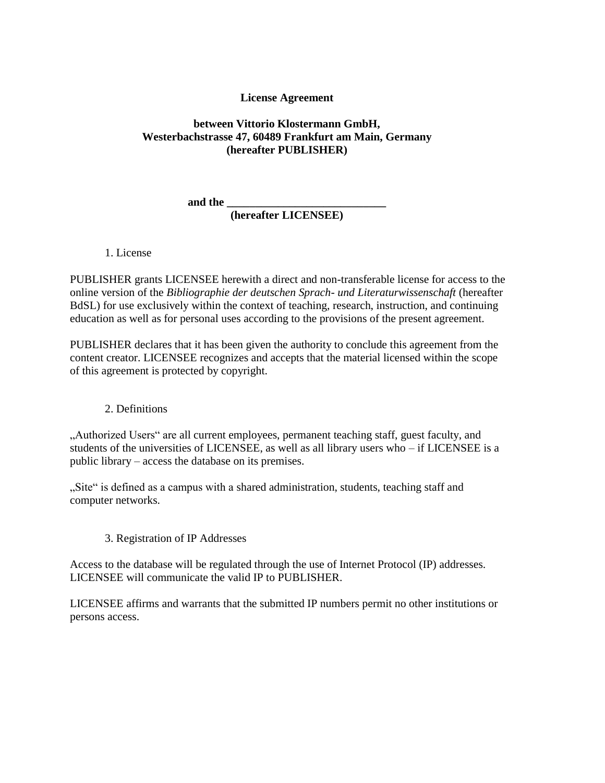# **License Agreement**

# **between Vittorio Klostermann GmbH, Westerbachstrasse 47, 60489 Frankfurt am Main, Germany (hereafter PUBLISHER)**

**and the \_\_\_\_\_\_\_\_\_\_\_\_\_\_\_\_\_\_\_\_\_\_\_\_\_\_\_\_** 

### **(hereafter LICENSEE)**

1. License

PUBLISHER grants LICENSEE herewith a direct and non-transferable license for access to the online version of the *Bibliographie der deutschen Sprach- und Literaturwissenschaft* (hereafter BdSL) for use exclusively within the context of teaching, research, instruction, and continuing education as well as for personal uses according to the provisions of the present agreement.

PUBLISHER declares that it has been given the authority to conclude this agreement from the content creator. LICENSEE recognizes and accepts that the material licensed within the scope of this agreement is protected by copyright.

### 2. Definitions

"Authorized Users" are all current employees, permanent teaching staff, guest faculty, and students of the universities of LICENSEE, as well as all library users who – if LICENSEE is a public library – access the database on its premises.

"Site" is defined as a campus with a shared administration, students, teaching staff and computer networks.

3. Registration of IP Addresses

Access to the database will be regulated through the use of Internet Protocol (IP) addresses. LICENSEE will communicate the valid IP to PUBLISHER.

LICENSEE affirms and warrants that the submitted IP numbers permit no other institutions or persons access.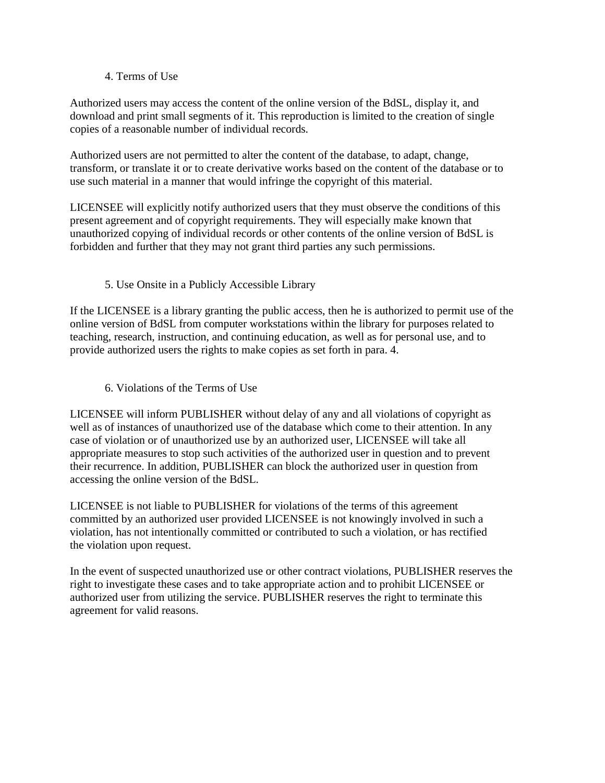### 4. Terms of Use

Authorized users may access the content of the online version of the BdSL, display it, and download and print small segments of it. This reproduction is limited to the creation of single copies of a reasonable number of individual records.

Authorized users are not permitted to alter the content of the database, to adapt, change, transform, or translate it or to create derivative works based on the content of the database or to use such material in a manner that would infringe the copyright of this material.

LICENSEE will explicitly notify authorized users that they must observe the conditions of this present agreement and of copyright requirements. They will especially make known that unauthorized copying of individual records or other contents of the online version of BdSL is forbidden and further that they may not grant third parties any such permissions.

### 5. Use Onsite in a Publicly Accessible Library

If the LICENSEE is a library granting the public access, then he is authorized to permit use of the online version of BdSL from computer workstations within the library for purposes related to teaching, research, instruction, and continuing education, as well as for personal use, and to provide authorized users the rights to make copies as set forth in para. 4.

6. Violations of the Terms of Use

LICENSEE will inform PUBLISHER without delay of any and all violations of copyright as well as of instances of unauthorized use of the database which come to their attention. In any case of violation or of unauthorized use by an authorized user, LICENSEE will take all appropriate measures to stop such activities of the authorized user in question and to prevent their recurrence. In addition, PUBLISHER can block the authorized user in question from accessing the online version of the BdSL.

LICENSEE is not liable to PUBLISHER for violations of the terms of this agreement committed by an authorized user provided LICENSEE is not knowingly involved in such a violation, has not intentionally committed or contributed to such a violation, or has rectified the violation upon request.

In the event of suspected unauthorized use or other contract violations, PUBLISHER reserves the right to investigate these cases and to take appropriate action and to prohibit LICENSEE or authorized user from utilizing the service. PUBLISHER reserves the right to terminate this agreement for valid reasons.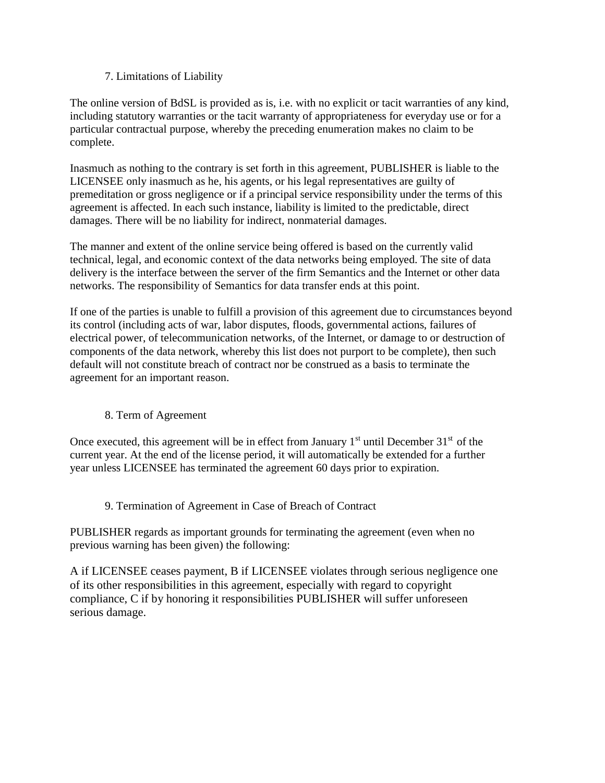# 7. Limitations of Liability

The online version of BdSL is provided as is, i.e. with no explicit or tacit warranties of any kind, including statutory warranties or the tacit warranty of appropriateness for everyday use or for a particular contractual purpose, whereby the preceding enumeration makes no claim to be complete.

Inasmuch as nothing to the contrary is set forth in this agreement, PUBLISHER is liable to the LICENSEE only inasmuch as he, his agents, or his legal representatives are guilty of premeditation or gross negligence or if a principal service responsibility under the terms of this agreement is affected. In each such instance, liability is limited to the predictable, direct damages. There will be no liability for indirect, nonmaterial damages.

The manner and extent of the online service being offered is based on the currently valid technical, legal, and economic context of the data networks being employed. The site of data delivery is the interface between the server of the firm Semantics and the Internet or other data networks. The responsibility of Semantics for data transfer ends at this point.

If one of the parties is unable to fulfill a provision of this agreement due to circumstances beyond its control (including acts of war, labor disputes, floods, governmental actions, failures of electrical power, of telecommunication networks, of the Internet, or damage to or destruction of components of the data network, whereby this list does not purport to be complete), then such default will not constitute breach of contract nor be construed as a basis to terminate the agreement for an important reason.

### 8. Term of Agreement

Once executed, this agreement will be in effect from January  $1<sup>st</sup>$  until December  $31<sup>st</sup>$  of the current year. At the end of the license period, it will automatically be extended for a further year unless LICENSEE has terminated the agreement 60 days prior to expiration.

### 9. Termination of Agreement in Case of Breach of Contract

PUBLISHER regards as important grounds for terminating the agreement (even when no previous warning has been given) the following:

A if LICENSEE ceases payment, B if LICENSEE violates through serious negligence one of its other responsibilities in this agreement, especially with regard to copyright compliance, C if by honoring it responsibilities PUBLISHER will suffer unforeseen serious damage.